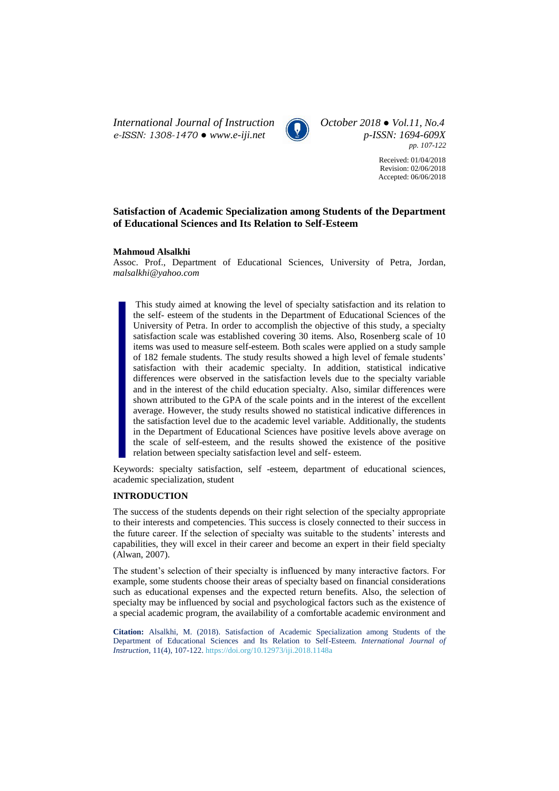*International Journal of Instruction October 2018 ● Vol.11, No.4 e-ISSN: 1308-1470 ● [www.e-iji.net](http://www.e-iji.net/) p-ISSN: 1694-609X*



*pp. 107-122*

Received: 01/04/2018 Revision: 02/06/2018 Accepted: 06/06/2018

# **Satisfaction of Academic Specialization among Students of the Department of Educational Sciences and Its Relation to Self-Esteem**

#### **Mahmoud Alsalkhi**

Assoc. Prof., Department of Educational Sciences, University of Petra, Jordan, *malsalkhi@yahoo.com*

This study aimed at knowing the level of specialty satisfaction and its relation to the self- esteem of the students in the Department of Educational Sciences of the University of Petra. In order to accomplish the objective of this study, a specialty satisfaction scale was established covering 30 items. Also, Rosenberg scale of 10 items was used to measure self-esteem. Both scales were applied on a study sample of 182 female students. The study results showed a high level of female students' satisfaction with their academic specialty. In addition, statistical indicative differences were observed in the satisfaction levels due to the specialty variable and in the interest of the child education specialty. Also, similar differences were shown attributed to the GPA of the scale points and in the interest of the excellent average. However, the study results showed no statistical indicative differences in the satisfaction level due to the academic level variable. Additionally, the students in the Department of Educational Sciences have positive levels above average on the scale of self-esteem, and the results showed the existence of the positive relation between specialty satisfaction level and self- esteem.

Keywords: specialty satisfaction, self -esteem, department of educational sciences, academic specialization, student

# **INTRODUCTION**

The success of the students depends on their right selection of the specialty appropriate to their interests and competencies. This success is closely connected to their success in the future career. If the selection of specialty was suitable to the students' interests and capabilities, they will excel in their career and become an expert in their field specialty (Alwan, 2007).

The student's selection of their specialty is influenced by many interactive factors. For example, some students choose their areas of specialty based on financial considerations such as educational expenses and the expected return benefits. Also, the selection of specialty may be influenced by social and psychological factors such as the existence of a special academic program, the availability of a comfortable academic environment and

**Citation:** Alsalkhi, M. (2018). Satisfaction of Academic Specialization among Students of the Department of Educational Sciences and Its Relation to Self-Esteem. *International Journal of Instruction*, 11(4), 107-122. <https://doi.org/10.12973/iji.2018.1148a>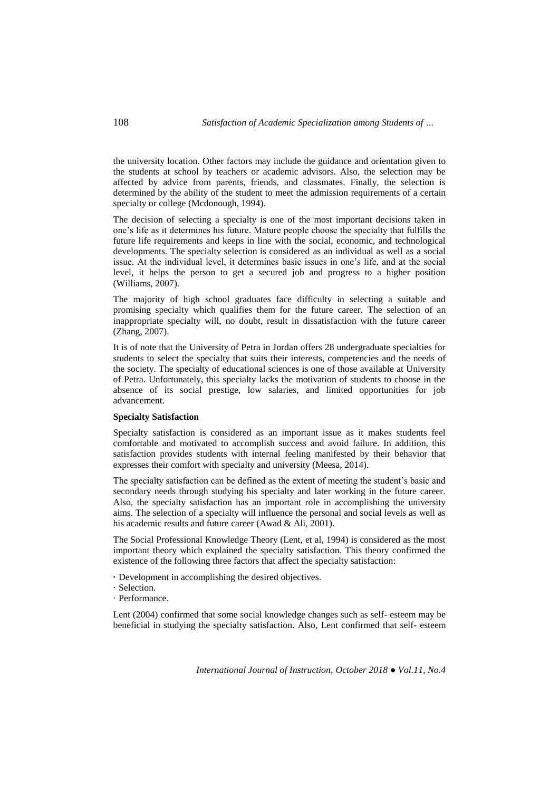the university location. Other factors may include the guidance and orientation given to the students at school by teachers or academic advisors. Also, the selection may be affected by advice from parents, friends, and classmates. Finally, the selection is determined by the ability of the student to meet the admission requirements of a certain specialty or college (Mcdonough, 1994).

The decision of selecting a specialty is one of the most important decisions taken in one's life as it determines his future. Mature people choose the specialty that fulfills the future life requirements and keeps in line with the social, economic, and technological developments. The specialty selection is considered as an individual as well as a social issue. At the individual level, it determines basic issues in one's life, and at the social level, it helps the person to get a secured job and progress to a higher position (Williams, 2007).

The majority of high school graduates face difficulty in selecting a suitable and promising specialty which qualifies them for the future career. The selection of an inappropriate specialty will, no doubt, result in dissatisfaction with the future career (Zhang, 2007).

It is of note that the University of Petra in Jordan offers 28 undergraduate specialties for students to select the specialty that suits their interests, competencies and the needs of the society. The specialty of educational sciences is one of those available at University of Petra. Unfortunately, this specialty lacks the motivation of students to choose in the absence of its social prestige, low salaries, and limited opportunities for job advancement.

# **Specialty Satisfaction**

Specialty satisfaction is considered as an important issue as it makes students feel comfortable and motivated to accomplish success and avoid failure. In addition, this satisfaction provides students with internal feeling manifested by their behavior that expresses their comfort with specialty and university (Meesa, 2014).

The specialty satisfaction can be defined as the extent of meeting the student's basic and secondary needs through studying his specialty and later working in the future career. Also, the specialty satisfaction has an important role in accomplishing the university aims. The selection of a specialty will influence the personal and social levels as well as his academic results and future career (Awad & Ali, 2001).

The Social Professional Knowledge Theory (Lent, et al, 1994) is considered as the most important theory which explained the specialty satisfaction. This theory confirmed the existence of the following three factors that affect the specialty satisfaction:

- **·** Development in accomplishing the desired objectives.
- · Selection.
- · Performance.

Lent (2004) confirmed that some social knowledge changes such as self- esteem may be beneficial in studying the specialty satisfaction. Also, Lent confirmed that self- esteem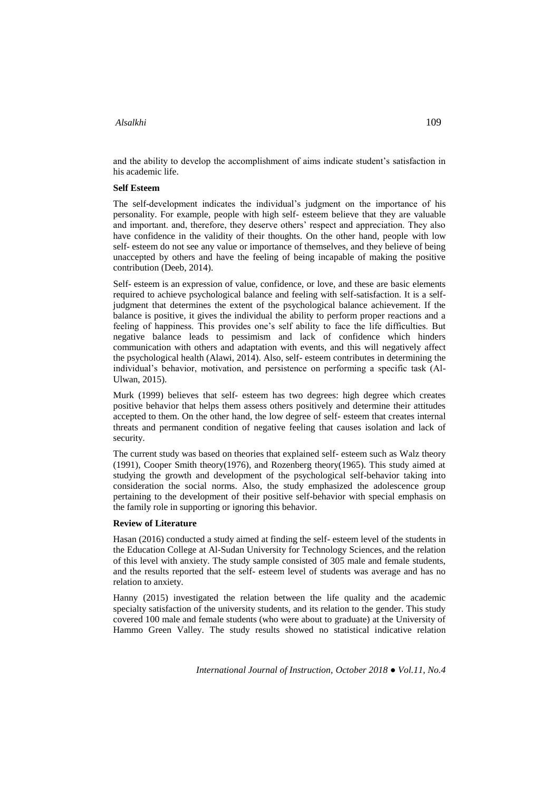and the ability to develop the accomplishment of aims indicate student's satisfaction in his academic life.

#### **Self Esteem**

The self-development indicates the individual's judgment on the importance of his personality. For example, people with high self- esteem believe that they are valuable and important. and, therefore, they deserve others' respect and appreciation. They also have confidence in the validity of their thoughts. On the other hand, people with low self- esteem do not see any value or importance of themselves, and they believe of being unaccepted by others and have the feeling of being incapable of making the positive contribution (Deeb, 2014).

Self- esteem is an expression of value, confidence, or love, and these are basic elements required to achieve psychological balance and feeling with self-satisfaction. It is a selfjudgment that determines the extent of the psychological balance achievement. If the balance is positive, it gives the individual the ability to perform proper reactions and a feeling of happiness. This provides one's self ability to face the life difficulties. But negative balance leads to pessimism and lack of confidence which hinders communication with others and adaptation with events, and this will negatively affect the psychological health (Alawi, 2014). Also, self- esteem contributes in determining the individual's behavior, motivation, and persistence on performing a specific task (Al-Ulwan, 2015).

Murk (1999) believes that self- esteem has two degrees: high degree which creates positive behavior that helps them assess others positively and determine their attitudes accepted to them. On the other hand, the low degree of self- esteem that creates internal threats and permanent condition of negative feeling that causes isolation and lack of security.

The current study was based on theories that explained self- esteem such as Walz theory (1991), Cooper Smith theory(1976), and Rozenberg theory(1965). This study aimed at studying the growth and development of the psychological self-behavior taking into consideration the social norms. Also, the study emphasized the adolescence group pertaining to the development of their positive self-behavior with special emphasis on the family role in supporting or ignoring this behavior.

#### **Review of Literature**

Hasan (2016) conducted a study aimed at finding the self- esteem level of the students in the Education College at Al-Sudan University for Technology Sciences, and the relation of this level with anxiety. The study sample consisted of 305 male and female students, and the results reported that the self- esteem level of students was average and has no relation to anxiety.

Hanny (2015) investigated the relation between the life quality and the academic specialty satisfaction of the university students, and its relation to the gender. This study covered 100 male and female students (who were about to graduate) at the University of Hammo Green Valley. The study results showed no statistical indicative relation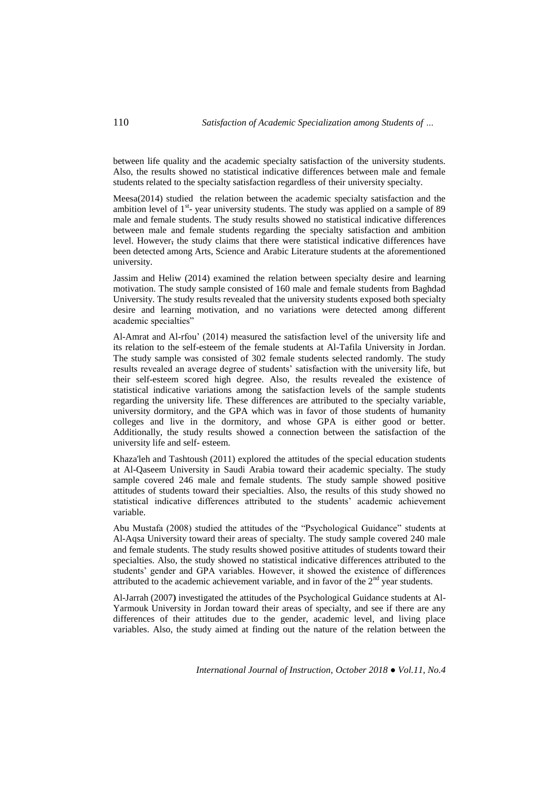between life quality and the academic specialty satisfaction of the university students. Also, the results showed no statistical indicative differences between male and female students related to the specialty satisfaction regardless of their university specialty.

Meesa(2014) studied the relation between the academic specialty satisfaction and the ambition level of  $1<sup>st</sup>$ - year university students. The study was applied on a sample of 89 male and female students. The study results showed no statistical indicative differences between male and female students regarding the specialty satisfaction and ambition level. However, the study claims that there were statistical indicative differences have been detected among Arts, Science and Arabic Literature students at the aforementioned university.

Jassim and Heliw (2014) examined the relation between specialty desire and learning motivation. The study sample consisted of 160 male and female students from Baghdad University. The study results revealed that the university students exposed both specialty desire and learning motivation, and no variations were detected among different academic specialties"

Al-Amrat and Al-rfou' (2014) measured the satisfaction level of the university life and its relation to the self-esteem of the female students at Al-Tafila University in Jordan. The study sample was consisted of 302 female students selected randomly. The study results revealed an average degree of students' satisfaction with the university life, but their self-esteem scored high degree. Also, the results revealed the existence of statistical indicative variations among the satisfaction levels of the sample students regarding the university life. These differences are attributed to the specialty variable, university dormitory, and the GPA which was in favor of those students of humanity colleges and live in the dormitory, and whose GPA is either good or better. Additionally, the study results showed a connection between the satisfaction of the university life and self- esteem.

Khaza'leh and Tashtoush (2011) explored the attitudes of the special education students at Al-Qaseem University in Saudi Arabia toward their academic specialty. The study sample covered 246 male and female students. The study sample showed positive attitudes of students toward their specialties. Also, the results of this study showed no statistical indicative differences attributed to the students' academic achievement variable.

Abu Mustafa (2008) studied the attitudes of the "Psychological Guidance" students at Al-Aqsa University toward their areas of specialty. The study sample covered 240 male and female students. The study results showed positive attitudes of students toward their specialties. Also, the study showed no statistical indicative differences attributed to the students' gender and GPA variables. However, it showed the existence of differences attributed to the academic achievement variable, and in favor of the  $2<sup>nd</sup>$  year students.

Al-Jarrah (2007**)** investigated the attitudes of the Psychological Guidance students at Al-Yarmouk University in Jordan toward their areas of specialty, and see if there are any differences of their attitudes due to the gender, academic level, and living place variables. Also, the study aimed at finding out the nature of the relation between the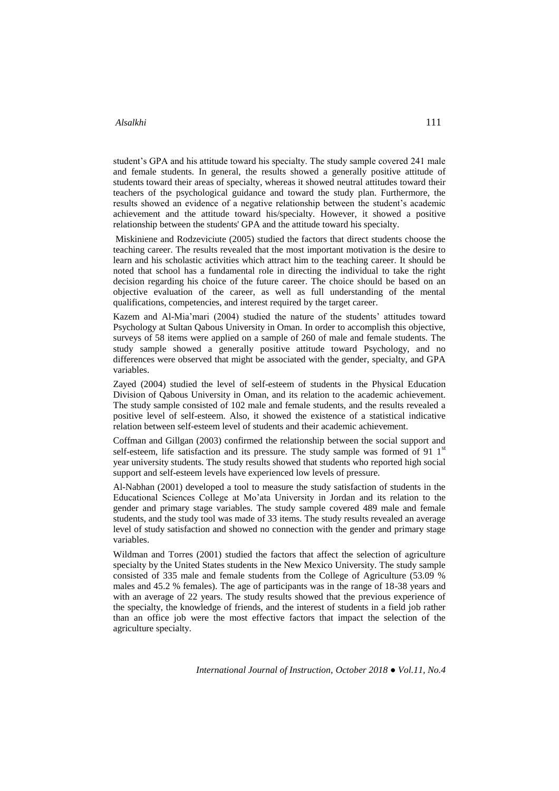student's GPA and his attitude toward his specialty. The study sample covered 241 male and female students. In general, the results showed a generally positive attitude of students toward their areas of specialty, whereas it showed neutral attitudes toward their teachers of the psychological guidance and toward the study plan. Furthermore, the results showed an evidence of a negative relationship between the student's academic achievement and the attitude toward his/specialty. However, it showed a positive relationship between the students' GPA and the attitude toward his specialty.

Miskiniene and Rodzeviciute (2005) studied the factors that direct students choose the teaching career. The results revealed that the most important motivation is the desire to learn and his scholastic activities which attract him to the teaching career. It should be noted that school has a fundamental role in directing the individual to take the right decision regarding his choice of the future career. The choice should be based on an objective evaluation of the career, as well as full understanding of the mental qualifications, competencies, and interest required by the target career.

Kazem and Al-Mia'mari (2004) studied the nature of the students' attitudes toward Psychology at Sultan Qabous University in Oman. In order to accomplish this objective, surveys of 58 items were applied on a sample of 260 of male and female students. The study sample showed a generally positive attitude toward Psychology, and no differences were observed that might be associated with the gender, specialty, and GPA variables.

Zayed (2004) studied the level of self-esteem of students in the Physical Education Division of Qabous University in Oman, and its relation to the academic achievement. The study sample consisted of 102 male and female students, and the results revealed a positive level of self-esteem. Also, it showed the existence of a statistical indicative relation between self-esteem level of students and their academic achievement.

Coffman and Gillgan (2003) confirmed the relationship between the social support and self-esteem, life satisfaction and its pressure. The study sample was formed of 91  $1<sup>st</sup>$ year university students. The study results showed that students who reported high social support and self-esteem levels have experienced low levels of pressure.

Al-Nabhan (2001) developed a tool to measure the study satisfaction of students in the Educational Sciences College at Mo'ata University in Jordan and its relation to the gender and primary stage variables. The study sample covered 489 male and female students, and the study tool was made of 33 items. The study results revealed an average level of study satisfaction and showed no connection with the gender and primary stage variables.

Wildman and Torres (2001) studied the factors that affect the selection of agriculture specialty by the United States students in the New Mexico University. The study sample consisted of 335 male and female students from the College of Agriculture (53.09 % males and 45.2 % females). The age of participants was in the range of 18-38 years and with an average of 22 years. The study results showed that the previous experience of the specialty, the knowledge of friends, and the interest of students in a field job rather than an office job were the most effective factors that impact the selection of the agriculture specialty.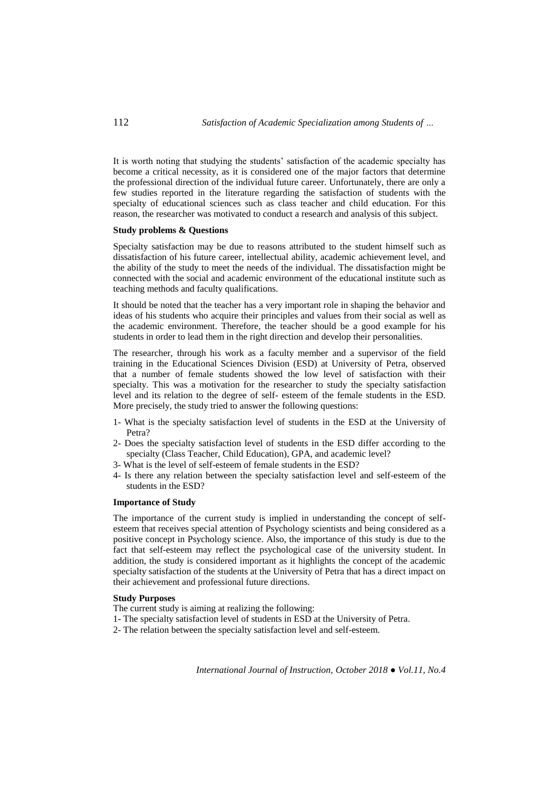It is worth noting that studying the students' satisfaction of the academic specialty has become a critical necessity, as it is considered one of the major factors that determine the professional direction of the individual future career. Unfortunately, there are only a few studies reported in the literature regarding the satisfaction of students with the specialty of educational sciences such as class teacher and child education. For this reason, the researcher was motivated to conduct a research and analysis of this subject.

#### **Study problems & Questions**

Specialty satisfaction may be due to reasons attributed to the student himself such as dissatisfaction of his future career, intellectual ability, academic achievement level, and the ability of the study to meet the needs of the individual. The dissatisfaction might be connected with the social and academic environment of the educational institute such as teaching methods and faculty qualifications.

It should be noted that the teacher has a very important role in shaping the behavior and ideas of his students who acquire their principles and values from their social as well as the academic environment. Therefore, the teacher should be a good example for his students in order to lead them in the right direction and develop their personalities.

The researcher, through his work as a faculty member and a supervisor of the field training in the Educational Sciences Division (ESD) at University of Petra, observed that a number of female students showed the low level of satisfaction with their specialty. This was a motivation for the researcher to study the specialty satisfaction level and its relation to the degree of self- esteem of the female students in the ESD. More precisely, the study tried to answer the following questions:

- 1- What is the specialty satisfaction level of students in the ESD at the University of Petra?
- 2- Does the specialty satisfaction level of students in the ESD differ according to the specialty (Class Teacher, Child Education), GPA, and academic level?
- 3- What is the level of self-esteem of female students in the ESD?
- 4- Is there any relation between the specialty satisfaction level and self-esteem of the students in the ESD?

#### **Importance of Study**

The importance of the current study is implied in understanding the concept of selfesteem that receives special attention of Psychology scientists and being considered as a positive concept in Psychology science. Also, the importance of this study is due to the fact that self-esteem may reflect the psychological case of the university student. In addition, the study is considered important as it highlights the concept of the academic specialty satisfaction of the students at the University of Petra that has a direct impact on their achievement and professional future directions.

#### **Study Purposes**

- The current study is aiming at realizing the following:
- 1- The specialty satisfaction level of students in ESD at the University of Petra.
- 2- The relation between the specialty satisfaction level and self-esteem.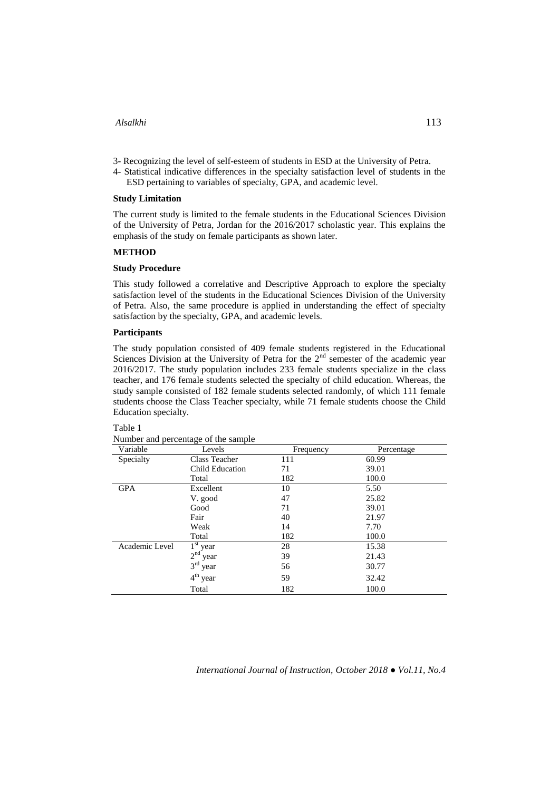- 3- Recognizing the level of self-esteem of students in ESD at the University of Petra.
- 4- Statistical indicative differences in the specialty satisfaction level of students in the ESD pertaining to variables of specialty, GPA, and academic level.

#### **Study Limitation**

The current study is limited to the female students in the Educational Sciences Division of the University of Petra, Jordan for the 2016/2017 scholastic year. This explains the emphasis of the study on female participants as shown later.

## **METHOD**

#### **Study Procedure**

This study followed a correlative and Descriptive Approach to explore the specialty satisfaction level of the students in the Educational Sciences Division of the University of Petra. Also, the same procedure is applied in understanding the effect of specialty satisfaction by the specialty, GPA, and academic levels.

#### **Participants**

The study population consisted of 409 female students registered in the Educational Sciences Division at the University of Petra for the  $2<sup>nd</sup>$  semester of the academic year 2016/2017. The study population includes 233 female students specialize in the class teacher, and 176 female students selected the specialty of child education. Whereas, the study sample consisted of 182 female students selected randomly, of which 111 female students choose the Class Teacher specialty, while 71 female students choose the Child Education specialty.

# Table 1

| Variable       | Levels                  | Frequency | Percentage |
|----------------|-------------------------|-----------|------------|
| Specialty      | Class Teacher           | 111       | 60.99      |
|                | Child Education         | 71        | 39.01      |
|                | Total                   | 182       | 100.0      |
| <b>GPA</b>     | Excellent               | 10        | 5.50       |
|                | V. good                 | 47        | 25.82      |
|                | Good                    | 71        | 39.01      |
|                | Fair                    | 40        | 21.97      |
|                | Weak                    | 14        | 7.70       |
|                | Total                   | 182       | 100.0      |
| Academic Level | $1^{\rm st}$<br>year    | 28        | 15.38      |
|                | 2 <sup>nd</sup><br>year | 39        | 21.43      |
|                | $3rd$ year              | 56        | 30.77      |
|                | $4th$ year              | 59        | 32.42      |
|                | Total                   | 182       | 100.0      |

| Number and percentage of the sample |  |
|-------------------------------------|--|
|                                     |  |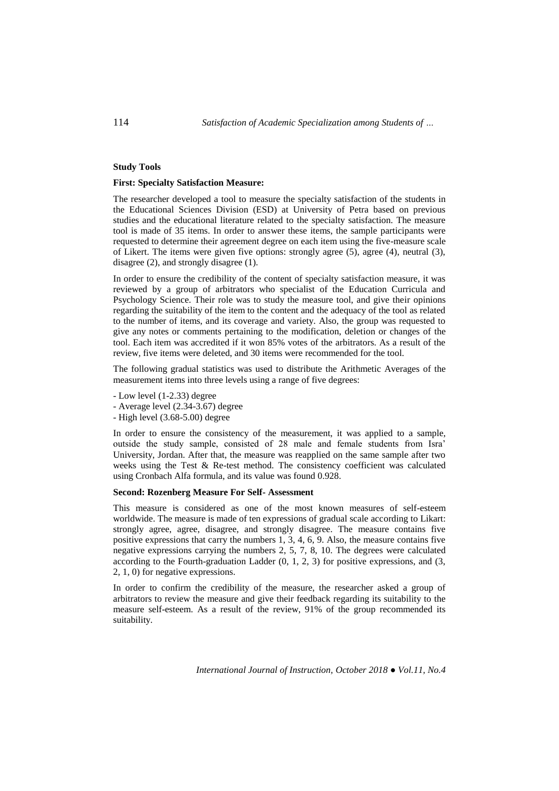#### **Study Tools**

#### **First: Specialty Satisfaction Measure:**

The researcher developed a tool to measure the specialty satisfaction of the students in the Educational Sciences Division (ESD) at University of Petra based on previous studies and the educational literature related to the specialty satisfaction. The measure tool is made of 35 items. In order to answer these items, the sample participants were requested to determine their agreement degree on each item using the five-measure scale of Likert. The items were given five options: strongly agree (5), agree (4), neutral (3), disagree (2), and strongly disagree (1).

In order to ensure the credibility of the content of specialty satisfaction measure, it was reviewed by a group of arbitrators who specialist of the Education Curricula and Psychology Science. Their role was to study the measure tool, and give their opinions regarding the suitability of the item to the content and the adequacy of the tool as related to the number of items, and its coverage and variety. Also, the group was requested to give any notes or comments pertaining to the modification, deletion or changes of the tool. Each item was accredited if it won 85% votes of the arbitrators. As a result of the review, five items were deleted, and 30 items were recommended for the tool.

The following gradual statistics was used to distribute the Arithmetic Averages of the measurement items into three levels using a range of five degrees:

- Low level (1-2.33) degree
- Average level (2.34-3.67) degree
- High level (3.68-5.00) degree

In order to ensure the consistency of the measurement, it was applied to a sample, outside the study sample, consisted of 28 male and female students from Isra' University, Jordan. After that, the measure was reapplied on the same sample after two weeks using the Test & Re-test method. The consistency coefficient was calculated using Cronbach Alfa formula, and its value was found 0.928.

#### **Second: Rozenberg Measure For Self- Assessment**

This measure is considered as one of the most known measures of self-esteem worldwide. The measure is made of ten expressions of gradual scale according to Likart: strongly agree, agree, disagree, and strongly disagree. The measure contains five positive expressions that carry the numbers 1, 3, 4, 6, 9. Also, the measure contains five negative expressions carrying the numbers 2, 5, 7, 8, 10. The degrees were calculated according to the Fourth-graduation Ladder  $(0, 1, 2, 3)$  for positive expressions, and  $(3, 1, 2, 3)$ 2, 1, 0) for negative expressions.

In order to confirm the credibility of the measure, the researcher asked a group of arbitrators to review the measure and give their feedback regarding its suitability to the measure self-esteem. As a result of the review, 91% of the group recommended its suitability.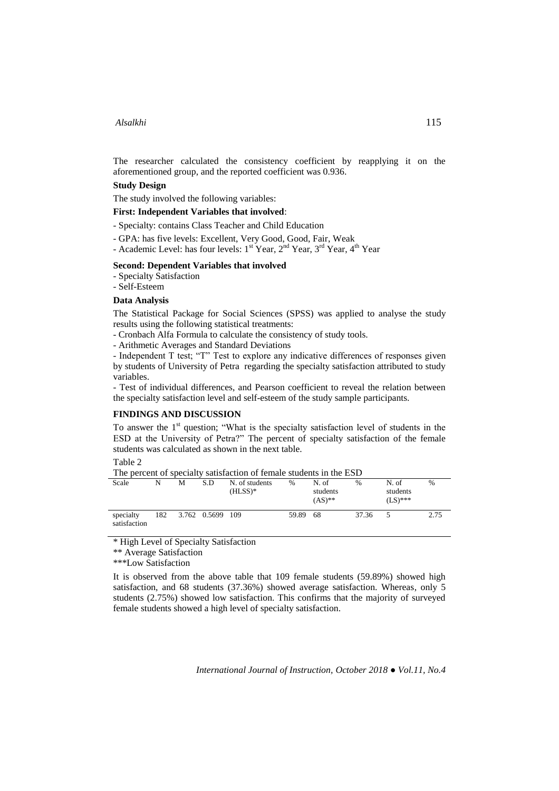The researcher calculated the consistency coefficient by reapplying it on the aforementioned group, and the reported coefficient was 0.936.

# **Study Design**

The study involved the following variables:

# **First: Independent Variables that involved**:

- Specialty: contains Class Teacher and Child Education
- GPA: has five levels: Excellent, Very Good, Good, Fair, Weak
- Academic Level: has four levels:  $1^{st}$  Year,  $2^{nd}$  Year,  $3^{rd}$  Year,  $4^{th}$  Year

#### **Second: Dependent Variables that involved**

- Specialty Satisfaction

- Self-Esteem

# **Data Analysis**

The Statistical Package for Social Sciences (SPSS) was applied to analyse the study results using the following statistical treatments:

- Cronbach Alfa Formula to calculate the consistency of study tools.

The percent of specialty satisfaction of female students in the ESD

- Arithmetic Averages and Standard Deviations

- Independent T test; "T" Test to explore any indicative differences of responses given by students of University of Petra regarding the specialty satisfaction attributed to study variables.

- Test of individual differences, and Pearson coefficient to reveal the relation between the specialty satisfaction level and self-esteem of the study sample participants.

# **FINDINGS AND DISCUSSION**

To answer the  $1<sup>st</sup>$  question; "What is the specialty satisfaction level of students in the ESD at the University of Petra?" The percent of specialty satisfaction of the female students was calculated as shown in the next table.

Table 2

|                           |     |   |                  | The percent of specially satisfaction of female students in the ESD |       |                               |       |                                 |      |
|---------------------------|-----|---|------------------|---------------------------------------------------------------------|-------|-------------------------------|-------|---------------------------------|------|
| Scale                     | N   | М | S.D              | N. of students<br>$(HLSS)*$                                         | $\%$  | N. of<br>students<br>$(AS)**$ | $\%$  | N. of<br>students<br>$(LS)$ *** | $\%$ |
| specialty<br>satisfaction | 182 |   | 3.762 0.5699 109 |                                                                     | 59.89 | -68                           | 37.36 |                                 | 2.75 |

\* High Level of Specialty Satisfaction

\*\* Average Satisfaction

\*\*\*Low Satisfaction

It is observed from the above table that 109 female students (59.89%) showed high satisfaction, and 68 students (37.36%) showed average satisfaction. Whereas, only 5 students (2.75%) showed low satisfaction. This confirms that the majority of surveyed female students showed a high level of specialty satisfaction.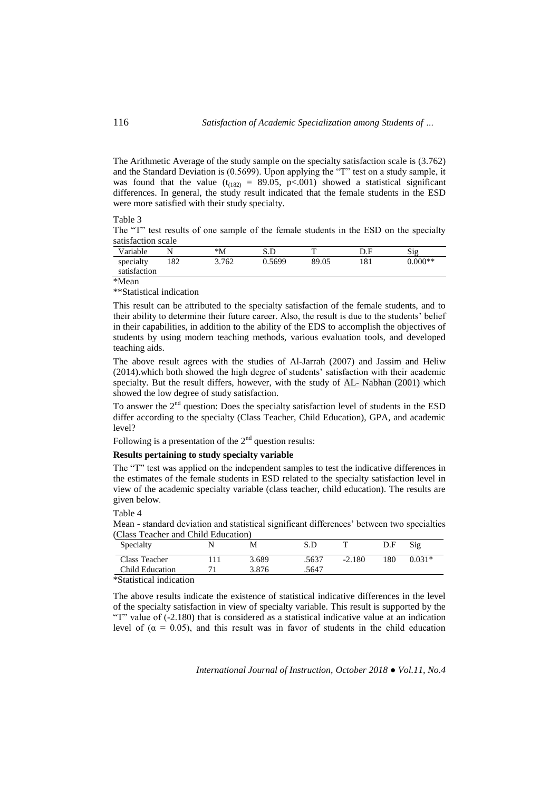The Arithmetic Average of the study sample on the specialty satisfaction scale is (3.762) and the Standard Deviation is (0.5699). Upon applying the "T" test on a study sample, it was found that the value ( $t_{(182)} = 89.05$ , p<.001) showed a statistical significant differences. In general, the study result indicated that the female students in the ESD were more satisfied with their study specialty.

## Table 3

The "T" test results of one sample of the female students in the ESD on the specialty satisfaction scale

| Variable                  |    | $^*M$ | S.D    | Ŧ     |    | Sig       |
|---------------------------|----|-------|--------|-------|----|-----------|
| specialty<br>satisfaction | 82 | 3.762 | 0.5699 | 89.05 | 81 | $0.000**$ |

\*Mean

\*\*Statistical indication

This result can be attributed to the specialty satisfaction of the female students, and to their ability to determine their future career. Also, the result is due to the students' belief in their capabilities, in addition to the ability of the EDS to accomplish the objectives of students by using modern teaching methods, various evaluation tools, and developed teaching aids.

The above result agrees with the studies of Al-Jarrah (2007) and Jassim and Heliw (2014).which both showed the high degree of students' satisfaction with their academic specialty. But the result differs, however, with the study of AL- Nabhan (2001) which showed the low degree of study satisfaction.

To answer the  $2<sup>nd</sup>$  question: Does the specialty satisfaction level of students in the ESD differ according to the specialty (Class Teacher, Child Education), GPA, and academic level?

Following is a presentation of the  $2<sup>nd</sup>$  question results:

#### **Results pertaining to study specialty variable**

The "T" test was applied on the independent samples to test the indicative differences in the estimates of the female students in ESD related to the specialty satisfaction level in view of the academic specialty variable (class teacher, child education). The results are given below.

Table 4

Mean - standard deviation and statistical significant differences' between two specialties (Class Teacher and Child Education)

| Specialty       | М     | ת א   |          | D.F | Sig      |
|-----------------|-------|-------|----------|-----|----------|
| Class Teacher   | 3.689 | .5637 | $-2.180$ | 180 | $0.031*$ |
| Child Education | 3.876 | .5647 |          |     |          |

\*Statistical indication

The above results indicate the existence of statistical indicative differences in the level of the specialty satisfaction in view of specialty variable. This result is supported by the "T" value of (-2.180) that is considered as a statistical indicative value at an indication level of ( $\alpha = 0.05$ ), and this result was in favor of students in the child education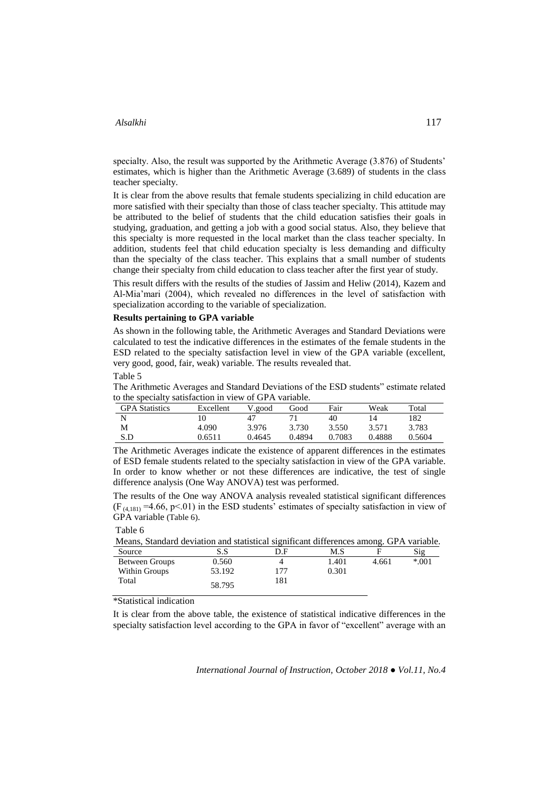specialty. Also, the result was supported by the Arithmetic Average (3.876) of Students' estimates, which is higher than the Arithmetic Average (3.689) of students in the class teacher specialty.

It is clear from the above results that female students specializing in child education are more satisfied with their specialty than those of class teacher specialty. This attitude may be attributed to the belief of students that the child education satisfies their goals in studying, graduation, and getting a job with a good social status. Also, they believe that this specialty is more requested in the local market than the class teacher specialty. In addition, students feel that child education specialty is less demanding and difficulty than the specialty of the class teacher. This explains that a small number of students change their specialty from child education to class teacher after the first year of study.

This result differs with the results of the studies of Jassim and Heliw (2014), Kazem and Al-Mia'mari (2004), which revealed no differences in the level of satisfaction with specialization according to the variable of specialization.

#### **Results pertaining to GPA variable**

As shown in the following table, the Arithmetic Averages and Standard Deviations were calculated to test the indicative differences in the estimates of the female students in the ESD related to the specialty satisfaction level in view of the GPA variable (excellent, very good, good, fair, weak) variable. The results revealed that.

Table 5

The Arithmetic Averages and Standard Deviations of the ESD students" estimate related to the specialty satisfaction in view of GPA variable.

| <b>GPA</b> Statistics | Excellent | V.good | Good   | Fair   | Weak   | Total  |
|-----------------------|-----------|--------|--------|--------|--------|--------|
| N                     | ι0        |        |        | 40     | 14     | 182    |
| М                     | 4.090     | 3.976  | 3.730  | 3.550  | 3.571  | 3.783  |
| S.D                   | 2.6511    | 0.4645 | 0.4894 | 0.7083 | 0.4888 | 0.5604 |

The Arithmetic Averages indicate the existence of apparent differences in the estimates of ESD female students related to the specialty satisfaction in view of the GPA variable. In order to know whether or not these differences are indicative, the test of single difference analysis (One Way ANOVA) test was performed.

The results of the One way ANOVA analysis revealed statistical significant differences  $(F_{(4,181)} = 4.66, p<0.1)$  in the ESD students' estimates of specialty satisfaction in view of GPA variable (Table 6).

| anie | n |
|------|---|
|------|---|

Means, Standard deviation and statistical significant differences among. GPA variable.

| Source         | S.S    | D.F | M.S   |       | Sig    |
|----------------|--------|-----|-------|-------|--------|
| Between Groups | 0.560  |     | 1.401 | 4.661 | $*001$ |
| Within Groups  | 53.192 | 177 | 0.301 |       |        |
| Total          | 58.795 | 181 |       |       |        |

\*Statistical indication

It is clear from the above table, the existence of statistical indicative differences in the specialty satisfaction level according to the GPA in favor of "excellent" average with an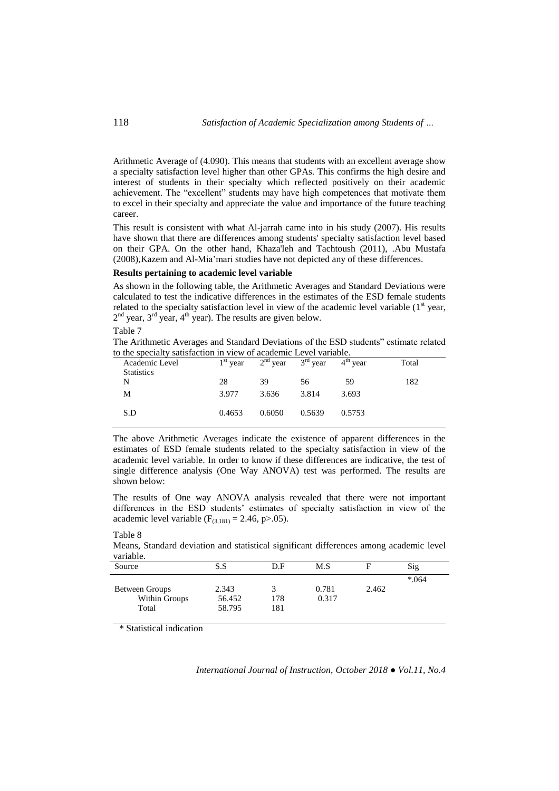Arithmetic Average of (4.090). This means that students with an excellent average show a specialty satisfaction level higher than other GPAs. This confirms the high desire and interest of students in their specialty which reflected positively on their academic achievement. The "excellent" students may have high competences that motivate them to excel in their specialty and appreciate the value and importance of the future teaching career.

This result is consistent with what Al-jarrah came into in his study (2007). His results have shown that there are differences among students' specialty satisfaction level based on their GPA. On the other hand, Khaza'leh and Tachtoush (2011), .Abu Mustafa (2008),Kazem and Al-Mia'mari studies have not depicted any of these differences.

#### **Results pertaining to academic level variable**

As shown in the following table, the Arithmetic Averages and Standard Deviations were calculated to test the indicative differences in the estimates of the ESD female students related to the specialty satisfaction level in view of the academic level variable  $(1<sup>st</sup>$  year,  $2<sup>nd</sup>$  year,  $3<sup>rd</sup>$  year,  $4<sup>th</sup>$  year). The results are given below.

Table 7

The Arithmetic Averages and Standard Deviations of the ESD students" estimate related to the specialty satisfaction in view of academic Level variable.

| Academic Level    | $1st$ year |        | $2nd$ year $3rd$ year | $4th$ year | Total |
|-------------------|------------|--------|-----------------------|------------|-------|
| <b>Statistics</b> |            |        |                       |            |       |
| N                 | 28         | 39     | 56                    | 59         | 182   |
| Μ                 | 3.977      | 3.636  | 3.814                 | 3.693      |       |
|                   |            |        |                       |            |       |
| S.D               | 0.4653     | 0.6050 | 0.5639                | 0.5753     |       |
|                   |            |        |                       |            |       |

The above Arithmetic Averages indicate the existence of apparent differences in the estimates of ESD female students related to the specialty satisfaction in view of the academic level variable. In order to know if these differences are indicative, the test of single difference analysis (One Way ANOVA) test was performed. The results are shown below:

The results of One way ANOVA analysis revealed that there were not important differences in the ESD students' estimates of specialty satisfaction in view of the academic level variable ( $F_{(3,181)} = 2.46$ , p>.05).

| variable.      |        |     |       |       |        |
|----------------|--------|-----|-------|-------|--------|
| Source         | S.S    | D.F | M.S   |       | Sig    |
|                |        |     |       |       | $*064$ |
| Between Groups | 2.343  |     | 0.781 | 2.462 |        |
| Within Groups  | 56.452 | 178 | 0.317 |       |        |
| Total          | 58.795 | 181 |       |       |        |
|                |        |     |       |       |        |

#### Table 8

Means, Standard deviation and statistical significant differences among academic level variable.

\* Statistical indication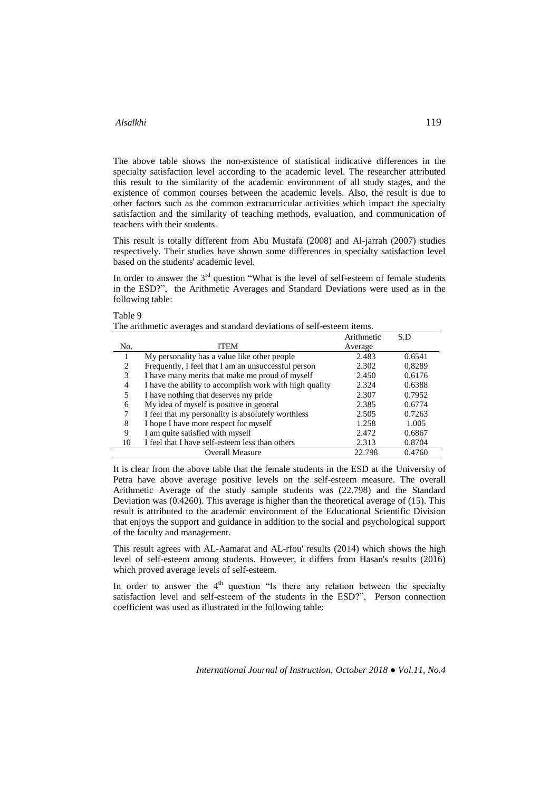Table 9

The above table shows the non-existence of statistical indicative differences in the specialty satisfaction level according to the academic level. The researcher attributed this result to the similarity of the academic environment of all study stages, and the existence of common courses between the academic levels. Also, the result is due to other factors such as the common extracurricular activities which impact the specialty satisfaction and the similarity of teaching methods, evaluation, and communication of teachers with their students.

This result is totally different from Abu Mustafa (2008) and Al-jarrah (2007) studies respectively. Their studies have shown some differences in specialty satisfaction level based on the students' academic level.

In order to answer the  $3<sup>rd</sup>$  question "What is the level of self-esteem of female students in the ESD?", the Arithmetic Averages and Standard Deviations were used as in the following table:

The arithmetic averages and standard deviations of self-esteem items.

|     |                                                         | Arithmetic | S.D    |
|-----|---------------------------------------------------------|------------|--------|
| No. | <b>ITEM</b>                                             | Average    |        |
|     | My personality has a value like other people            | 2.483      | 0.6541 |
| 2   | Frequently, I feel that I am an unsuccessful person     | 2.302      | 0.8289 |
| 3   | I have many merits that make me proud of myself         | 2.450      | 0.6176 |
| 4   | I have the ability to accomplish work with high quality | 2.324      | 0.6388 |
| 5   | I have nothing that deserves my pride                   | 2.307      | 0.7952 |
| 6   | My idea of myself is positive in general                | 2.385      | 0.6774 |
| 7   | I feel that my personality is absolutely worthless      | 2.505      | 0.7263 |
| 8   | I hope I have more respect for myself                   | 1.258      | 1.005  |
| 9   | I am quite satisfied with myself                        | 2.472      | 0.6867 |
| 10  | I feel that I have self-esteem less than others         | 2.313      | 0.8704 |
|     | Overall Measure                                         | 22.798     | 0.4760 |

It is clear from the above table that the female students in the ESD at the University of Petra have above average positive levels on the self-esteem measure. The overall Arithmetic Average of the study sample students was (22.798) and the Standard Deviation was (0.4260). This average is higher than the theoretical average of (15). This result is attributed to the academic environment of the Educational Scientific Division that enjoys the support and guidance in addition to the social and psychological support of the faculty and management.

This result agrees with AL-Aamarat and AL-rfou' results (2014) which shows the high level of self-esteem among students. However, it differs from Hasan's results (2016) which proved average levels of self-esteem.

In order to answer the  $4<sup>th</sup>$  question "Is there any relation between the specialty satisfaction level and self-esteem of the students in the ESD?", Person connection coefficient was used as illustrated in the following table: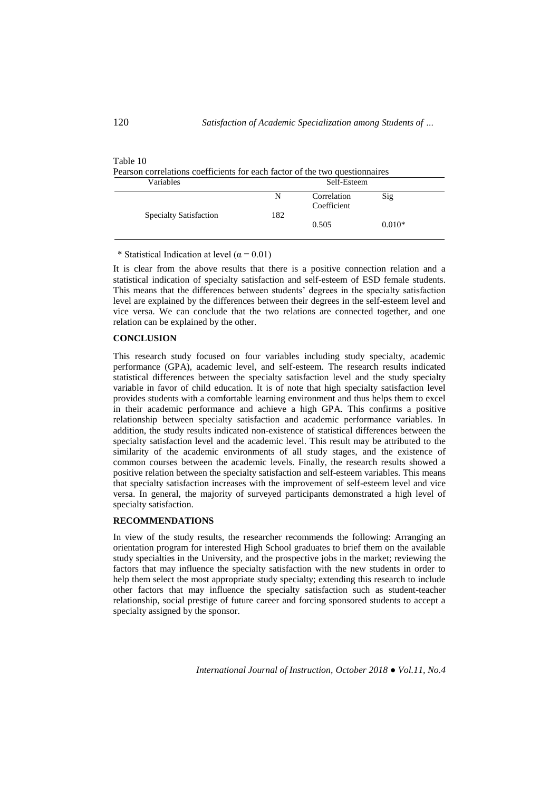| <b>TADIC TO</b><br>Pearson correlations coefficients for each factor of the two questionnaires |             |                            |          |  |  |
|------------------------------------------------------------------------------------------------|-------------|----------------------------|----------|--|--|
| Variables                                                                                      | Self-Esteem |                            |          |  |  |
|                                                                                                | N           | Correlation<br>Coefficient | Sig      |  |  |
| <b>Specialty Satisfaction</b>                                                                  | 182         | 0.505                      | $0.010*$ |  |  |

\* Statistical Indication at level ( $\alpha$  = 0.01)

It is clear from the above results that there is a positive connection relation and a statistical indication of specialty satisfaction and self-esteem of ESD female students. This means that the differences between students' degrees in the specialty satisfaction level are explained by the differences between their degrees in the self-esteem level and vice versa. We can conclude that the two relations are connected together, and one relation can be explained by the other.

# **CONCLUSION**

This research study focused on four variables including study specialty, academic performance (GPA), academic level, and self-esteem. The research results indicated statistical differences between the specialty satisfaction level and the study specialty variable in favor of child education. It is of note that high specialty satisfaction level provides students with a comfortable learning environment and thus helps them to excel in their academic performance and achieve a high GPA. This confirms a positive relationship between specialty satisfaction and academic performance variables. In addition, the study results indicated non-existence of statistical differences between the specialty satisfaction level and the academic level. This result may be attributed to the similarity of the academic environments of all study stages, and the existence of common courses between the academic levels. Finally, the research results showed a positive relation between the specialty satisfaction and self-esteem variables. This means that specialty satisfaction increases with the improvement of self-esteem level and vice versa. In general, the majority of surveyed participants demonstrated a high level of specialty satisfaction.

# **RECOMMENDATIONS**

In view of the study results, the researcher recommends the following: Arranging an orientation program for interested High School graduates to brief them on the available study specialties in the University, and the prospective jobs in the market; reviewing the factors that may influence the specialty satisfaction with the new students in order to help them select the most appropriate study specialty; extending this research to include other factors that may influence the specialty satisfaction such as student-teacher relationship, social prestige of future career and forcing sponsored students to accept a specialty assigned by the sponsor.

*International Journal of Instruction, October 2018 ● Vol.11, No.4*

Table 10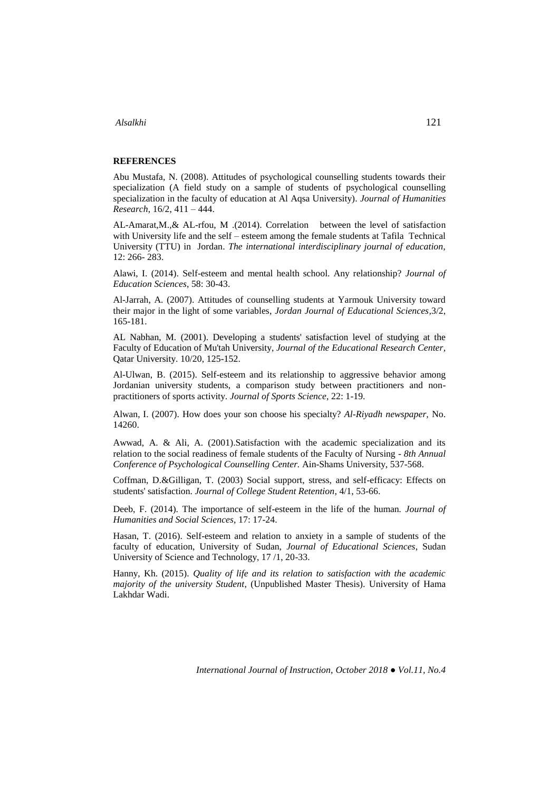# **REFERENCES**

Abu Mustafa, N. (2008). Attitudes of psychological counselling students towards their specialization (A field study on a sample of students of psychological counselling specialization in the faculty of education at Al Aqsa University). *Journal of Humanities Research*, 16/2, 411 – 444.

AL-Amarat,M.,& AL-rfou, M .(2014). Correlation between the level of satisfaction with University life and the self – esteem among the female students at Tafila Technical University (TTU) in Jordan. *The international interdisciplinary journal of education,* 12: 266- 283.

Alawi, I. (2014). Self-esteem and mental health school. Any relationship? *Journal of Education Sciences*, 58: 30-43.

Al-Jarrah, A. (2007). Attitudes of counselling students at Yarmouk University toward their major in the light of some variables, *Jordan Journal of Educational Sciences,*3/2, 165-181.

AL Nabhan, M. (2001). Developing a students' satisfaction level of studying at the Faculty of Education of Mu'tah University, *[Journal of the Educational Research Center,](http://qspace.qu.edu.qa/handle/10576/2651)*  Qatar University. 10/20, 125-152.

Al-Ulwan, B. (2015). Self-esteem and its relationship to aggressive behavior among Jordanian university students, a comparison study between practitioners and nonpractitioners of sports activity. *Journal of Sports Science*, 22: 1-19.

Alwan, I. (2007). How does your son choose his specialty? *Al-Riyadh newspaper,* No. 14260.

Awwad, A. & Ali, A. (2001).Satisfaction with the academic specialization and its relation to the social readiness of female students of the Faculty of Nursing - *8th Annual Conference of Psychological Counselling Center.* Ain-Shams University, 537-568.

Coffman, D.&Gilligan, T. (2003) Social support, stress, and self-efficacy: Effects on students' satisfaction. *Journal of College Student Retention*, 4/1, 53-66.

Deeb, F. (2014). The importance of self-esteem in the life of the human*. Journal of Humanities and Social Sciences*, 17: 17-24.

Hasan, T. (2016). Self-esteem and relation to anxiety in a sample of students of the faculty of education, University of Sudan, *Journal of Educational Sciences*, Sudan University of Science and Technology, 17 /1, 20-33.

Hanny, Kh. (2015). *Quality of life and its relation to satisfaction with the academic majority of the university Student*, (Unpublished Master Thesis). University of Hama Lakhdar Wadi.